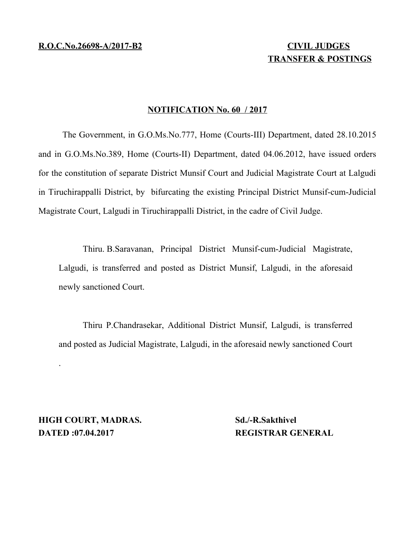# **TRANSFER & POSTINGS**

# **NOTIFICATION No. 60 / 2017**

The Government, in G.O.Ms.No.777, Home (Courts-III) Department, dated 28.10.2015 and in G.O.Ms.No.389, Home (Courts-II) Department, dated 04.06.2012, have issued orders for the constitution of separate District Munsif Court and Judicial Magistrate Court at Lalgudi in Tiruchirappalli District, by bifurcating the existing Principal District Munsif-cum-Judicial Magistrate Court, Lalgudi in Tiruchirappalli District, in the cadre of Civil Judge.

Thiru. B.Saravanan, Principal District Munsif-cum-Judicial Magistrate, Lalgudi, is transferred and posted as District Munsif, Lalgudi, in the aforesaid newly sanctioned Court.

Thiru P.Chandrasekar, Additional District Munsif, Lalgudi, is transferred and posted as Judicial Magistrate, Lalgudi, in the aforesaid newly sanctioned Court

**HIGH COURT, MADRAS.** Sd./-R.Sakthivel **DATED :07.04.2017 REGISTRAR GENERAL** 

.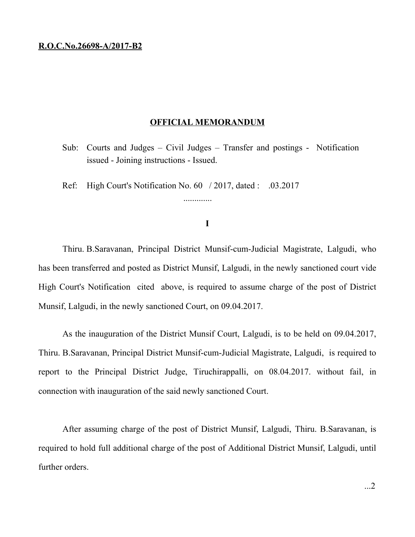# **R.O.C.No.26698-A/2017-B2**

#### **OFFICIAL MEMORANDUM**

- Sub: Courts and Judges Civil Judges Transfer and postings Notification issued - Joining instructions - Issued.
- Ref: High Court's Notification No. 60 / 2017, dated : .03.2017

## **I**

.............

Thiru. B.Saravanan, Principal District Munsif-cum-Judicial Magistrate, Lalgudi, who has been transferred and posted as District Munsif, Lalgudi, in the newly sanctioned court vide High Court's Notification cited above, is required to assume charge of the post of District Munsif, Lalgudi, in the newly sanctioned Court, on 09.04.2017.

As the inauguration of the District Munsif Court, Lalgudi, is to be held on 09.04.2017, Thiru. B.Saravanan, Principal District Munsif-cum-Judicial Magistrate, Lalgudi, is required to report to the Principal District Judge, Tiruchirappalli, on 08.04.2017. without fail, in connection with inauguration of the said newly sanctioned Court.

After assuming charge of the post of District Munsif, Lalgudi, Thiru. B.Saravanan, is required to hold full additional charge of the post of Additional District Munsif, Lalgudi, until further orders.